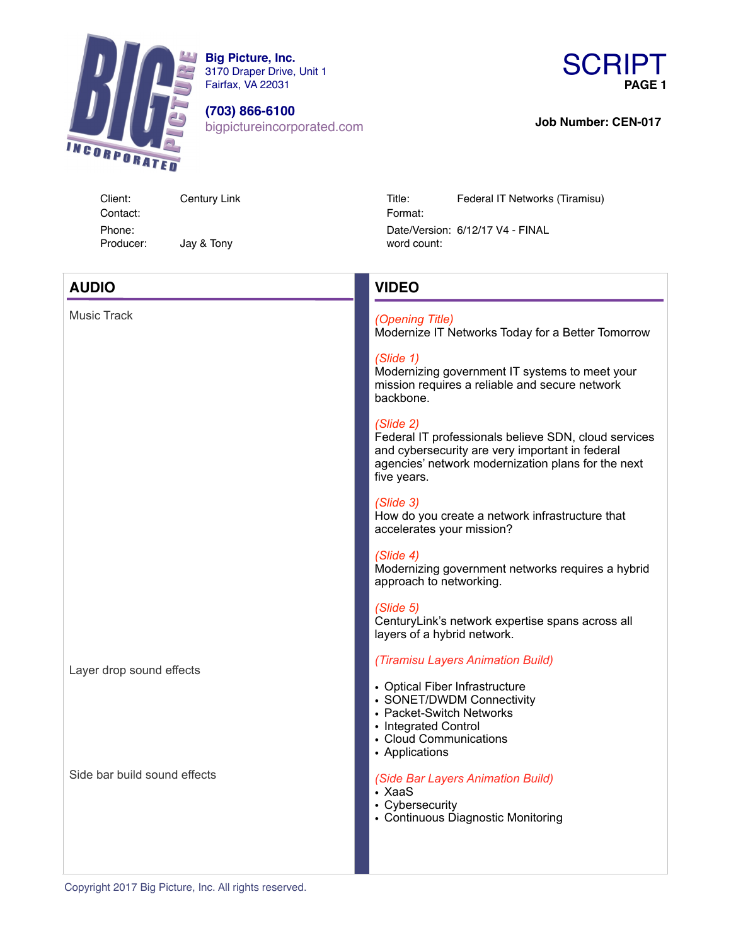

**Big Picture, Inc.** 3170 Draper Drive, Unit 1 Fairfax, VA 22031

**(703) 866-6100** bigpictureincorporated.com



**Job Number: CEN-017** 

**AUDIO**

Music Track

Contact: Format: Jay & Tony

Client: Century Link Title: Federal IT Networks (Tiramisu) Phone: Date/Version: 6/12/17 V4 - FINAL

# **VIDEO**

## *(Opening Title)*

Modernize IT Networks Today for a Better Tomorrow

#### *(Slide 1)*

Modernizing government IT systems to meet your mission requires a reliable and secure network backbone.

## *(Slide 2)*

Federal IT professionals believe SDN, cloud services and cybersecurity are very important in federal agencies' network modernization plans for the next five years.

#### *(Slide 3)*

How do you create a network infrastructure that accelerates your mission?

#### *(Slide 4)*

Modernizing government networks requires a hybrid approach to networking.

#### *(Slide 5)*

CenturyLink's network expertise spans across all layers of a hybrid network.

#### *(Tiramisu Layers Animation Build)*

- Optical Fiber Infrastructure
- SONET/DWDM Connectivity
- Packet-Switch Networks
- Integrated Control
- Cloud Communications
- Applications

#### *(Side Bar Layers Animation Build)*

- XaaS
- Cybersecurity
- Continuous Diagnostic Monitoring

Copyright 2017 Big Picture, Inc. All rights reserved.

Layer drop sound effects

Side bar build sound effects